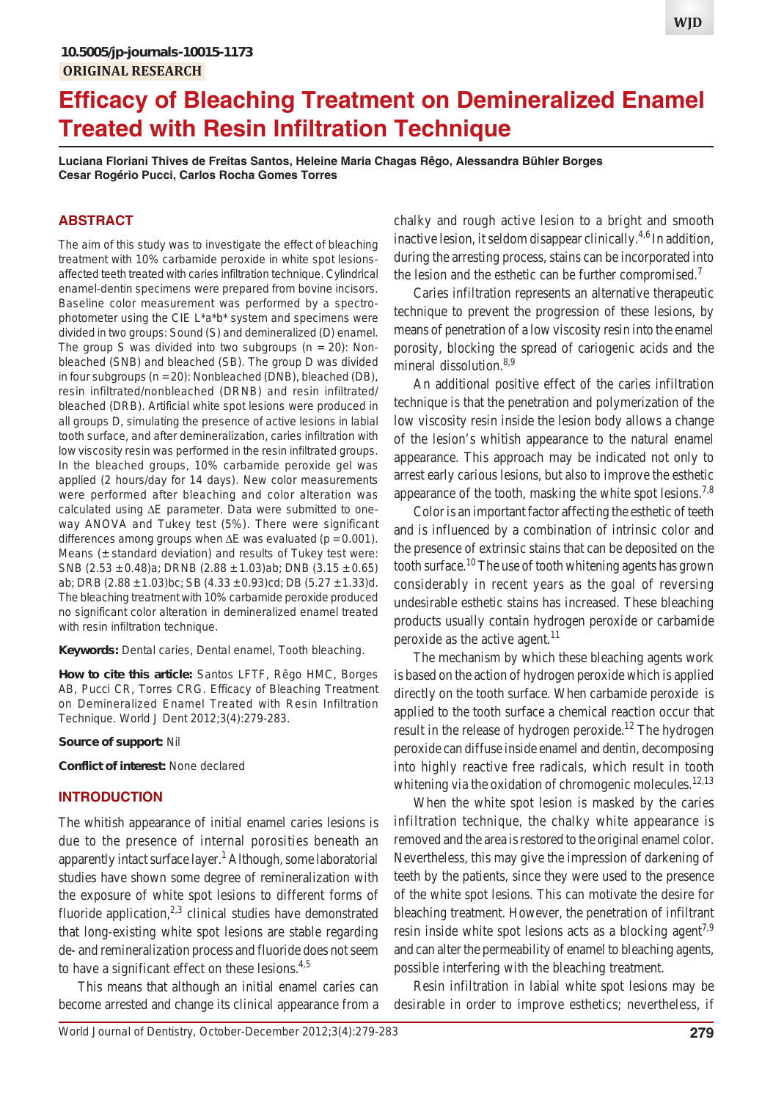# **Efficacy of Bleaching Treatment on Demineralized Enamel Treated with Resin Infiltration Technique**

**Luciana Floriani Thives de Freitas Santos, Heleine Maria Chagas Rêgo, Alessandra Bühler Borges Cesar Rogério Pucci, Carlos Rocha Gomes Torres**

# **ABSTRACT**

The aim of this study was to investigate the effect of bleaching treatment with 10% carbamide peroxide in white spot lesionsaffected teeth treated with caries infiltration technique. Cylindrical enamel-dentin specimens were prepared from bovine incisors. Baseline color measurement was performed by a spectrophotometer using the CIE L\*a\*b\* system and specimens were divided in two groups: Sound (S) and demineralized (D) enamel. The group S was divided into two subgroups  $(n = 20)$ : Nonbleached (SNB) and bleached (SB). The group D was divided in four subgroups (n = 20): Nonbleached (DNB), bleached (DB), resin infiltrated/nonbleached (DRNB) and resin infiltrated/ bleached (DRB). Artificial white spot lesions were produced in all groups D, simulating the presence of active lesions in labial tooth surface, and after demineralization, caries infiltration with low viscosity resin was performed in the resin infiltrated groups. In the bleached groups, 10% carbamide peroxide gel was applied (2 hours/day for 14 days). New color measurements were performed after bleaching and color alteration was calculated using  $\Delta E$  parameter. Data were submitted to oneway ANOVA and Tukey test (5%). There were significant differences among groups when  $\Delta E$  was evaluated (p = 0.001). Means  $(±$  standard deviation) and results of Tukey test were: SNB  $(2.53 \pm 0.48)$ a; DRNB  $(2.88 \pm 1.03)$ ab; DNB  $(3.15 \pm 0.65)$ ab; DRB (2.88  $\pm$  1.03)bc; SB (4.33  $\pm$  0.93)cd; DB (5.27  $\pm$  1.33)d. The bleaching treatment with 10% carbamide peroxide produced no significant color alteration in demineralized enamel treated with resin infiltration technique.

**Keywords:** Dental caries, Dental enamel, Tooth bleaching.

**How to cite this article:** Santos LFTF, Rêgo HMC, Borges AB, Pucci CR, Torres CRG. Efficacy of Bleaching Treatment on Demineralized Enamel Treated with Resin Infiltration Technique. World J Dent 2012;3(4):279-283.

#### **Source of support:** Nil

**Conflict of interest:** None declared

#### **INTRODUCTION**

The whitish appearance of initial enamel caries lesions is due to the presence of internal porosities beneath an apparently intact surface layer.<sup>1</sup> Although, some laboratorial studies have shown some degree of remineralization with the exposure of white spot lesions to different forms of fluoride application, $2,3$  clinical studies have demonstrated that long-existing white spot lesions are stable regarding de- and remineralization process and fluoride does not seem to have a significant effect on these lesions.<sup>4,5</sup>

This means that although an initial enamel caries can become arrested and change its clinical appearance from a

chalky and rough active lesion to a bright and smooth inactive lesion, it seldom disappear clinically.<sup>4,6</sup> In addition, during the arresting process, stains can be incorporated into the lesion and the esthetic can be further compromised.<sup>7</sup>

Caries infiltration represents an alternative therapeutic technique to prevent the progression of these lesions, by means of penetration of a low viscosity resin into the enamel porosity, blocking the spread of cariogenic acids and the mineral dissolution.<sup>8,9</sup>

An additional positive effect of the caries infiltration technique is that the penetration and polymerization of the low viscosity resin inside the lesion body allows a change of the lesion's whitish appearance to the natural enamel appearance. This approach may be indicated not only to arrest early carious lesions, but also to improve the esthetic appearance of the tooth, masking the white spot lesions.<sup>7,8</sup>

Color is an important factor affecting the esthetic of teeth and is influenced by a combination of intrinsic color and the presence of extrinsic stains that can be deposited on the tooth surface.<sup>10</sup> The use of tooth whitening agents has grown considerably in recent years as the goal of reversing undesirable esthetic stains has increased. These bleaching products usually contain hydrogen peroxide or carbamide peroxide as the active agent. $^{11}$ 

The mechanism by which these bleaching agents work is based on the action of hydrogen peroxide which is applied directly on the tooth surface. When carbamide peroxide is applied to the tooth surface a chemical reaction occur that result in the release of hydrogen peroxide.<sup>12</sup> The hydrogen peroxide can diffuse inside enamel and dentin, decomposing into highly reactive free radicals, which result in tooth whitening via the oxidation of chromogenic molecules.<sup>12,13</sup>

When the white spot lesion is masked by the caries infiltration technique, the chalky white appearance is removed and the area is restored to the original enamel color. Nevertheless, this may give the impression of darkening of teeth by the patients, since they were used to the presence of the white spot lesions. This can motivate the desire for bleaching treatment. However, the penetration of infiltrant resin inside white spot lesions acts as a blocking agent<sup>7,9</sup> and can alter the permeability of enamel to bleaching agents, possible interfering with the bleaching treatment.

Resin infiltration in labial white spot lesions may be desirable in order to improve esthetics; nevertheless, if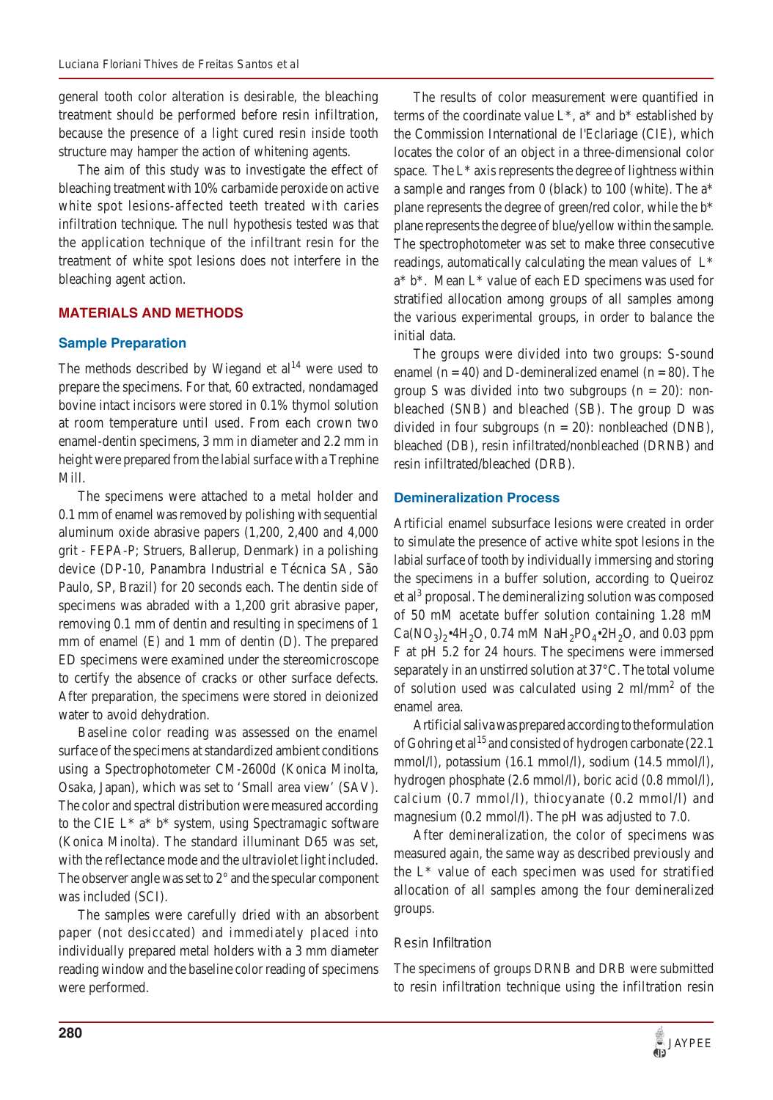general tooth color alteration is desirable, the bleaching treatment should be performed before resin infiltration, because the presence of a light cured resin inside tooth structure may hamper the action of whitening agents.

The aim of this study was to investigate the effect of bleaching treatment with 10% carbamide peroxide on active white spot lesions-affected teeth treated with caries infiltration technique. The null hypothesis tested was that the application technique of the infiltrant resin for the treatment of white spot lesions does not interfere in the bleaching agent action.

# **MATERIALS AND METHODS**

# **Sample Preparation**

The methods described by Wiegand et  $al<sup>14</sup>$  were used to prepare the specimens. For that, 60 extracted, nondamaged bovine intact incisors were stored in 0.1% thymol solution at room temperature until used. From each crown two enamel-dentin specimens, 3 mm in diameter and 2.2 mm in height were prepared from the labial surface with a Trephine Mill.

The specimens were attached to a metal holder and 0.1 mm of enamel was removed by polishing with sequential aluminum oxide abrasive papers (1,200, 2,400 and 4,000 grit - FEPA-P; Struers, Ballerup, Denmark) in a polishing device (DP-10, Panambra Industrial e Técnica SA, São Paulo, SP, Brazil) for 20 seconds each. The dentin side of specimens was abraded with a 1,200 grit abrasive paper, removing 0.1 mm of dentin and resulting in specimens of 1 mm of enamel (E) and 1 mm of dentin (D). The prepared ED specimens were examined under the stereomicroscope to certify the absence of cracks or other surface defects. After preparation, the specimens were stored in deionized water to avoid dehydration.

Baseline color reading was assessed on the enamel surface of the specimens at standardized ambient conditions using a Spectrophotometer CM-2600d (Konica Minolta, Osaka, Japan), which was set to 'Small area view' (SAV). The color and spectral distribution were measured according to the CIE L\* a\* b\* system, using Spectramagic software (Konica Minolta). The standard illuminant D65 was set, with the reflectance mode and the ultraviolet light included. The observer angle was set to 2° and the specular component was included (SCI).

The samples were carefully dried with an absorbent paper (not desiccated) and immediately placed into individually prepared metal holders with a 3 mm diameter reading window and the baseline color reading of specimens were performed.

The results of color measurement were quantified in terms of the coordinate value  $L^*$ ,  $a^*$  and  $b^*$  established by the Commission International de l'Eclariage (CIE), which locates the color of an object in a three-dimensional color space. The L\* axis represents the degree of lightness within a sample and ranges from 0 (black) to 100 (white). The a\* plane represents the degree of green/red color, while the b\* plane represents the degree of blue/yellow within the sample. The spectrophotometer was set to make three consecutive readings, automatically calculating the mean values of L\* a\* b\*. Mean L\* value of each ED specimens was used for stratified allocation among groups of all samples among the various experimental groups, in order to balance the initial data.

The groups were divided into two groups: S-sound enamel ( $n = 40$ ) and D-demineralized enamel ( $n = 80$ ). The group S was divided into two subgroups  $(n = 20)$ : nonbleached (SNB) and bleached (SB). The group D was divided in four subgroups ( $n = 20$ ): nonbleached (DNB), bleached (DB), resin infiltrated/nonbleached (DRNB) and resin infiltrated/bleached (DRB).

#### **Demineralization Process**

Artificial enamel subsurface lesions were created in order to simulate the presence of active white spot lesions in the labial surface of tooth by individually immersing and storing the specimens in a buffer solution, according to Queiroz et al<sup>3</sup> proposal. The demineralizing solution was composed of 50 mM acetate buffer solution containing 1.28 mM  $Ca(NO_3)_{2}$ •4H<sub>2</sub>O, 0.74 mM NaH<sub>2</sub>PO<sub>4</sub>•2H<sub>2</sub>O, and 0.03 ppm F at pH 5.2 for 24 hours. The specimens were immersed separately in an unstirred solution at 37°C. The total volume of solution used was calculated using  $2 \text{ ml/mm}^2$  of the enamel area.

Artificial saliva was prepared according to the formulation of Gohring et al<sup>15</sup> and consisted of hydrogen carbonate (22.1) mmol/l), potassium (16.1 mmol/l), sodium (14.5 mmol/l), hydrogen phosphate (2.6 mmol/l), boric acid (0.8 mmol/l), calcium (0.7 mmol/l), thiocyanate (0.2 mmol/l) and magnesium (0.2 mmol/l). The pH was adjusted to 7.0.

After demineralization, the color of specimens was measured again, the same way as described previously and the L\* value of each specimen was used for stratified allocation of all samples among the four demineralized groups.

# *Resin Infiltration*

The specimens of groups DRNB and DRB were submitted to resin infiltration technique using the infiltration resin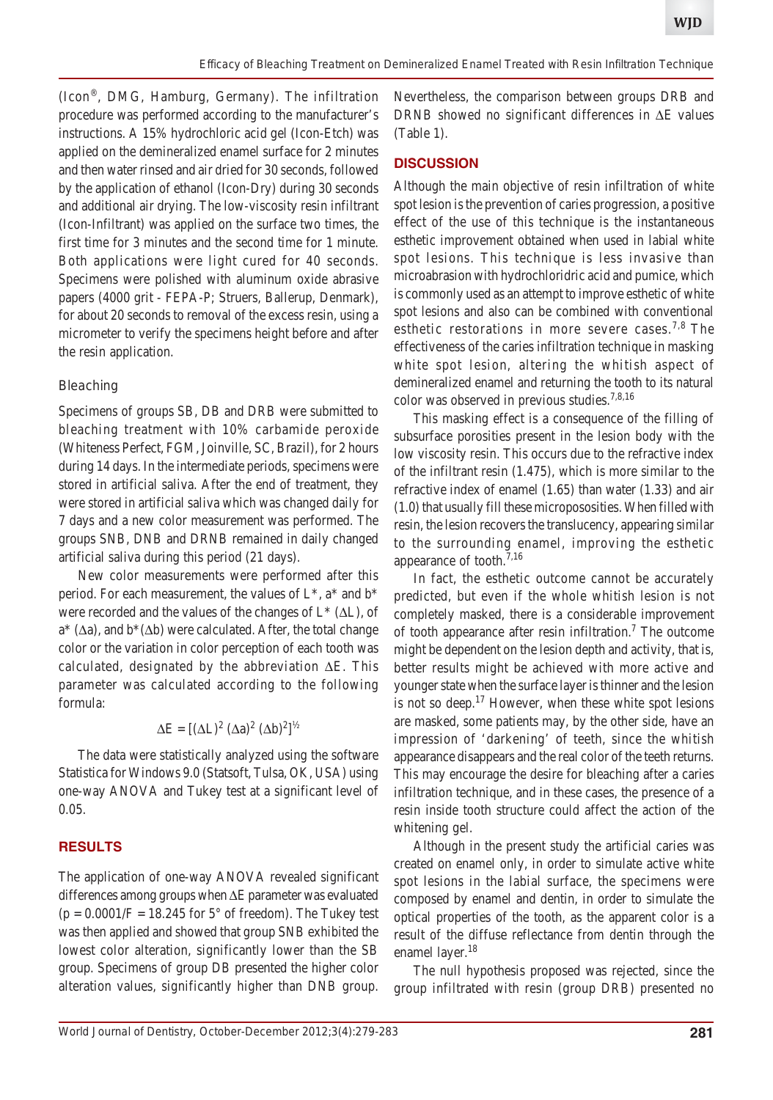(Icon®, DMG, Hamburg, Germany). The infiltration procedure was performed according to the manufacturer's instructions. A 15% hydrochloric acid gel (Icon-Etch) was applied on the demineralized enamel surface for 2 minutes and then water rinsed and air dried for 30 seconds, followed by the application of ethanol (Icon-Dry) during 30 seconds and additional air drying. The low-viscosity resin infiltrant (Icon-Infiltrant) was applied on the surface two times, the first time for 3 minutes and the second time for 1 minute. Both applications were light cured for 40 seconds. Specimens were polished with aluminum oxide abrasive papers (4000 grit - FEPA-P; Struers, Ballerup, Denmark), for about 20 seconds to removal of the excess resin, using a micrometer to verify the specimens height before and after the resin application.

#### *Bleaching*

Specimens of groups SB, DB and DRB were submitted to bleaching treatment with 10% carbamide peroxide (Whiteness Perfect, FGM, Joinville, SC, Brazil), for 2 hours during 14 days. In the intermediate periods, specimens were stored in artificial saliva. After the end of treatment, they were stored in artificial saliva which was changed daily for 7 days and a new color measurement was performed. The groups SNB, DNB and DRNB remained in daily changed artificial saliva during this period (21 days).

New color measurements were performed after this period. For each measurement, the values of  $L^*$ ,  $a^*$  and  $b^*$ were recorded and the values of the changes of  $L^*(\Delta L)$ , of  $a^*(\Delta a)$ , and  $b^*(\Delta b)$  were calculated. After, the total change color or the variation in color perception of each tooth was calculated, designated by the abbreviation  $\Delta E$ . This parameter was calculated according to the following formula:

$$
\Delta E = [(\Delta L)^2 (\Delta a)^2 (\Delta b)^2]^{1/2}
$$

The data were statistically analyzed using the software Statistica for Windows 9.0 (Statsoft, Tulsa, OK, USA) using one-way ANOVA and Tukey test at a significant level of 0.05.

# **RESULTS**

The application of one-way ANOVA revealed significant differences among groups when  $\Delta E$  parameter was evaluated  $(p = 0.0001/F = 18.245$  for 5° of freedom). The Tukey test was then applied and showed that group SNB exhibited the lowest color alteration, significantly lower than the SB group. Specimens of group DB presented the higher color alteration values, significantly higher than DNB group.

Nevertheless, the comparison between groups DRB and DRNB showed no significant differences in  $\Delta E$  values (Table 1).

# **DISCUSSION**

Although the main objective of resin infiltration of white spot lesion is the prevention of caries progression, a positive effect of the use of this technique is the instantaneous esthetic improvement obtained when used in labial white spot lesions. This technique is less invasive than microabrasion with hydrochloridric acid and pumice, which is commonly used as an attempt to improve esthetic of white spot lesions and also can be combined with conventional esthetic restorations in more severe cases.<sup>7,8</sup> The effectiveness of the caries infiltration technique in masking white spot lesion, altering the whitish aspect of demineralized enamel and returning the tooth to its natural color was observed in previous studies.7,8,16

This masking effect is a consequence of the filling of subsurface porosities present in the lesion body with the low viscosity resin. This occurs due to the refractive index of the infiltrant resin (1.475), which is more similar to the refractive index of enamel (1.65) than water (1.33) and air (1.0) that usually fill these micropososities. When filled with resin, the lesion recovers the translucency, appearing similar to the surrounding enamel, improving the esthetic appearance of tooth.7,16

In fact, the esthetic outcome cannot be accurately predicted, but even if the whole whitish lesion is not completely masked, there is a considerable improvement of tooth appearance after resin infiltration.<sup>7</sup> The outcome might be dependent on the lesion depth and activity, that is, better results might be achieved with more active and younger state when the surface layer is thinner and the lesion is not so deep.<sup>17</sup> However, when these white spot lesions are masked, some patients may, by the other side, have an impression of 'darkening' of teeth, since the whitish appearance disappears and the real color of the teeth returns. This may encourage the desire for bleaching after a caries infiltration technique, and in these cases, the presence of a resin inside tooth structure could affect the action of the whitening gel.

Although in the present study the artificial caries was created on enamel only, in order to simulate active white spot lesions in the labial surface, the specimens were composed by enamel and dentin, in order to simulate the optical properties of the tooth, as the apparent color is a result of the diffuse reflectance from dentin through the enamel layer.<sup>18</sup>

The null hypothesis proposed was rejected, since the group infiltrated with resin (group DRB) presented no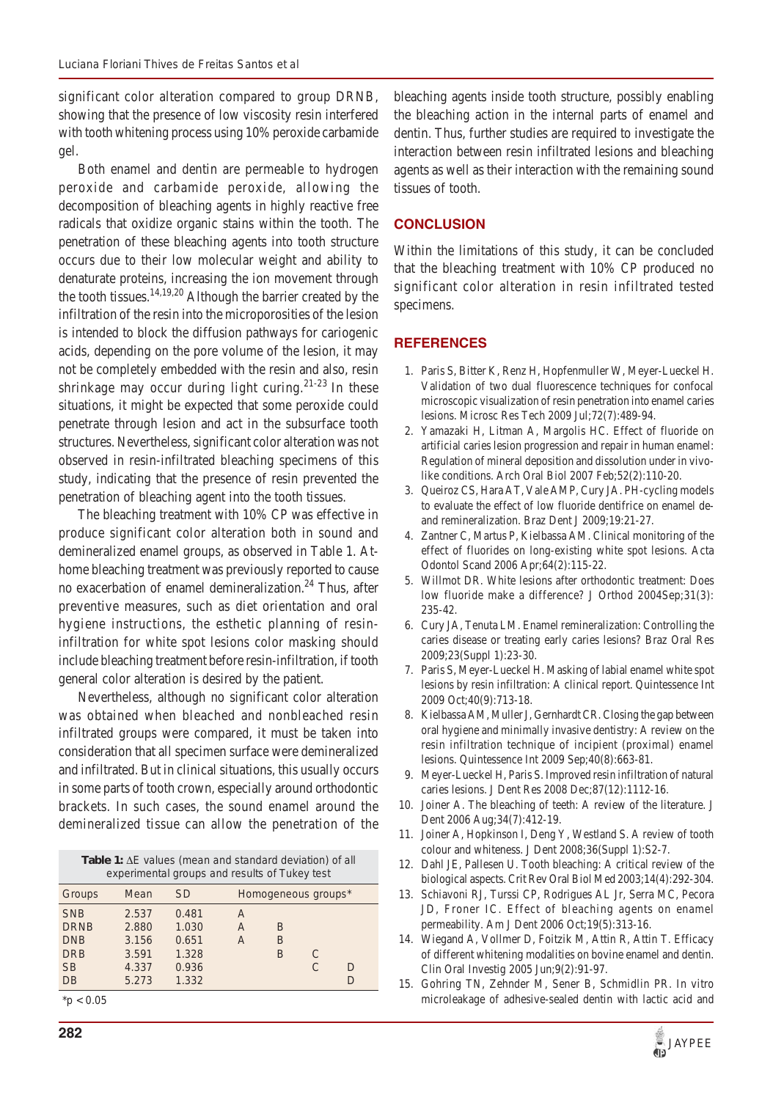significant color alteration compared to group DRNB, showing that the presence of low viscosity resin interfered with tooth whitening process using 10% peroxide carbamide gel.

Both enamel and dentin are permeable to hydrogen peroxide and carbamide peroxide, allowing the decomposition of bleaching agents in highly reactive free radicals that oxidize organic stains within the tooth. The penetration of these bleaching agents into tooth structure occurs due to their low molecular weight and ability to denaturate proteins, increasing the ion movement through the tooth tissues. $14,19,20$  Although the barrier created by the infiltration of the resin into the microporosities of the lesion is intended to block the diffusion pathways for cariogenic acids, depending on the pore volume of the lesion, it may not be completely embedded with the resin and also, resin shrinkage may occur during light curing.<sup>21-23</sup> In these situations, it might be expected that some peroxide could penetrate through lesion and act in the subsurface tooth structures. Nevertheless, significant color alteration was not observed in resin-infiltrated bleaching specimens of this study, indicating that the presence of resin prevented the penetration of bleaching agent into the tooth tissues.

The bleaching treatment with 10% CP was effective in produce significant color alteration both in sound and demineralized enamel groups, as observed in Table 1. Athome bleaching treatment was previously reported to cause no exacerbation of enamel demineralization.<sup>24</sup> Thus, after preventive measures, such as diet orientation and oral hygiene instructions, the esthetic planning of resininfiltration for white spot lesions color masking should include bleaching treatment before resin-infiltration, if tooth general color alteration is desired by the patient.

Nevertheless, although no significant color alteration was obtained when bleached and nonbleached resin infiltrated groups were compared, it must be taken into consideration that all specimen surface were demineralized and infiltrated. But in clinical situations, this usually occurs in some parts of tooth crown, especially around orthodontic brackets. In such cases, the sound enamel around the demineralized tissue can allow the penetration of the

Table 1:  $\Delta E$  values (mean and standard deviation) of all experimental groups and results of Tukey test

| $\frac{1}{2}$ |       |           |   |                     |   |   |  |
|---------------|-------|-----------|---|---------------------|---|---|--|
| Groups        | Mean  | <i>SD</i> |   | Homogeneous groups* |   |   |  |
| <b>SNB</b>    | 2.537 | 0.481     | A |                     |   |   |  |
| <b>DRNB</b>   | 2.880 | 1.030     | Α | B                   |   |   |  |
| <b>DNB</b>    | 3.156 | 0.651     | Α | B                   |   |   |  |
| <b>DRB</b>    | 3.591 | 1.328     |   | B                   | C |   |  |
| <b>SB</b>     | 4.337 | 0.936     |   |                     | C | D |  |
| DB            | 5.273 | 1.332     |   |                     |   | D |  |

 $*p < 0.05$ 

bleaching agents inside tooth structure, possibly enabling the bleaching action in the internal parts of enamel and dentin. Thus, further studies are required to investigate the interaction between resin infiltrated lesions and bleaching agents as well as their interaction with the remaining sound tissues of tooth.

### **CONCLUSION**

Within the limitations of this study, it can be concluded that the bleaching treatment with 10% CP produced no significant color alteration in resin infiltrated tested specimens.

# **REFERENCES**

- 1. Paris S, Bitter K, Renz H, Hopfenmuller W, Meyer-Lueckel H. Validation of two dual fluorescence techniques for confocal microscopic visualization of resin penetration into enamel caries lesions. Microsc Res Tech 2009 Jul;72(7):489-94.
- 2. Yamazaki H, Litman A, Margolis HC. Effect of fluoride on artificial caries lesion progression and repair in human enamel: Regulation of mineral deposition and dissolution under in vivolike conditions. Arch Oral Biol 2007 Feb;52(2):110-20.
- 3. Queiroz CS, Hara AT, Vale AMP, Cury JA. PH-cycling models to evaluate the effect of low fluoride dentifrice on enamel deand remineralization. Braz Dent J 2009;19:21-27.
- 4. Zantner C, Martus P, Kielbassa AM. Clinical monitoring of the effect of fluorides on long-existing white spot lesions. Acta Odontol Scand 2006 Apr;64(2):115-22.
- 5. Willmot DR. White lesions after orthodontic treatment: Does low fluoride make a difference? J Orthod 2004Sep;31(3): 235-42.
- 6. Cury JA, Tenuta LM. Enamel remineralization: Controlling the caries disease or treating early caries lesions? Braz Oral Res 2009;23(Suppl 1):23-30.
- 7. Paris S, Meyer-Lueckel H. Masking of labial enamel white spot lesions by resin infiltration: A clinical report. Quintessence Int 2009 Oct;40(9):713-18.
- 8. Kielbassa AM, Muller J, Gernhardt CR. Closing the gap between oral hygiene and minimally invasive dentistry: A review on the resin infiltration technique of incipient (proximal) enamel lesions. Quintessence Int 2009 Sep;40(8):663-81.
- 9. Meyer-Lueckel H, Paris S. Improved resin infiltration of natural caries lesions. J Dent Res 2008 Dec;87(12):1112-16.
- 10. Joiner A. The bleaching of teeth: A review of the literature. J Dent 2006 Aug;34(7):412-19.
- 11. Joiner A, Hopkinson I, Deng Y, Westland S. A review of tooth colour and whiteness. J Dent 2008;36(Suppl 1):S2-7.
- 12. Dahl JE, Pallesen U. Tooth bleaching: A critical review of the biological aspects. Crit Rev Oral Biol Med 2003;14(4):292-304.
- 13. Schiavoni RJ, Turssi CP, Rodrigues AL Jr, Serra MC, Pecora JD, Froner IC. Effect of bleaching agents on enamel permeability. Am J Dent 2006 Oct;19(5):313-16.
- 14. Wiegand A, Vollmer D, Foitzik M, Attin R, Attin T. Efficacy of different whitening modalities on bovine enamel and dentin. Clin Oral Investig 2005 Jun;9(2):91-97.
- 15. Gohring TN, Zehnder M, Sener B, Schmidlin PR. In vitro microleakage of adhesive-sealed dentin with lactic acid and